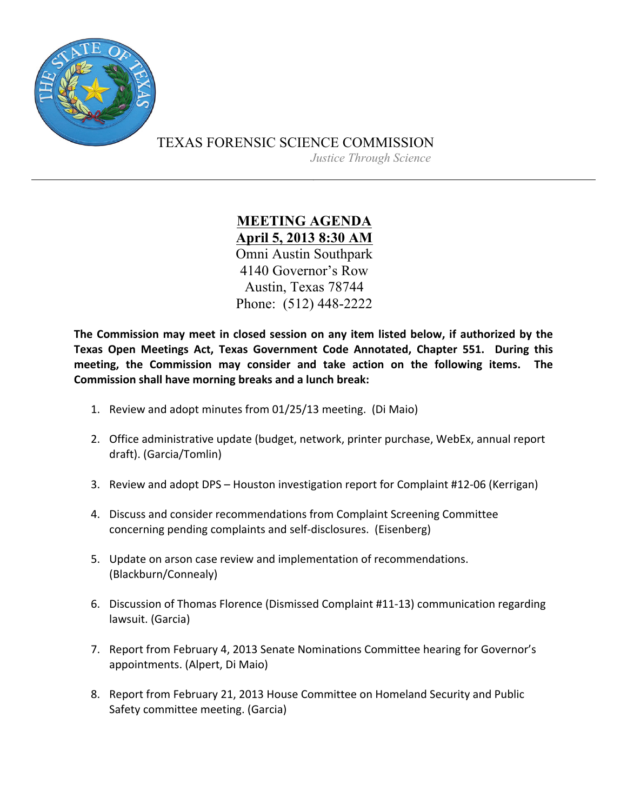

TEXAS FORENSIC SCIENCE COMMISSION

*Justice Through Science*

**MEETING AGENDA April 5, 2013 8:30 AM** Omni Austin Southpark 4140 Governor's Row Austin, Texas 78744 Phone: (512) 448-2222

The Commission may meet in closed session on any item listed below, if authorized by the Texas Open Meetings Act, Texas Government Code Annotated, Chapter 551. During this meeting, the Commission may consider and take action on the following items. The **Commission shall have morning breaks and a lunch break:** 

- 1. Review and adopt minutes from 01/25/13 meeting. (Di Maio)
- 2. Office administrative update (budget, network, printer purchase, WebEx, annual report draft). (Garcia/Tomlin)
- 3. Review and adopt DPS Houston investigation report for Complaint #12-06 (Kerrigan)
- 4. Discuss and consider recommendations from Complaint Screening Committee concerning pending complaints and self-disclosures. (Eisenberg)
- 5. Update on arson case review and implementation of recommendations. (Blackburn/Connealy)
- 6. Discussion of Thomas Florence (Dismissed Complaint #11-13) communication regarding lawsuit. (Garcia)
- 7. Report from February 4, 2013 Senate Nominations Committee hearing for Governor's appointments. (Alpert, Di Maio)
- 8. Report from February 21, 2013 House Committee on Homeland Security and Public Safety committee meeting. (Garcia)